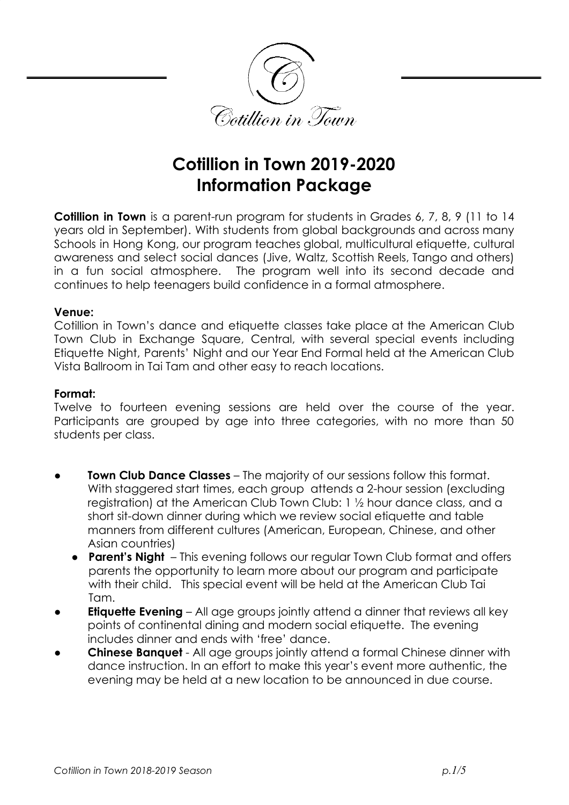

# **Cotillion in Town 2019-2020 Information Package**

**Cotillion in Town** is a parent-run program for students in Grades 6, 7, 8, 9 (11 to 14 years old in September). With students from global backgrounds and across many Schools in Hong Kong, our program teaches global, multicultural etiquette, cultural awareness and select social dances (Jive, Waltz, Scottish Reels, Tango and others) in a fun social atmosphere. The program well into its second decade and continues to help teenagers build confidence in a formal atmosphere.

#### **Venue:**

Cotillion in Town's dance and etiquette classes take place at the American Club Town Club in Exchange Square, Central, with several special events including Etiquette Night, Parents' Night and our Year End Formal held at the American Club Vista Ballroom in Tai Tam and other easy to reach locations.

# **Format:**

Twelve to fourteen evening sessions are held over the course of the year. Participants are grouped by age into three categories, with no more than 50 students per class.

- **Town Club Dance Classes** The majority of our sessions follow this format. With staggered start times, each group attends a 2-hour session (excluding registration) at the American Club Town Club: 1 ½ hour dance class, and a short sit-down dinner during which we review social etiquette and table manners from different cultures (American, European, Chinese, and other Asian countries)
	- **Parent's Night**  This evening follows our regular Town Club format and offers parents the opportunity to learn more about our program and participate with their child. This special event will be held at the American Club Tai Tam.
- **Etiquette Evening** All age groups jointly attend a dinner that reviews all key points of continental dining and modern social etiquette. The evening includes dinner and ends with 'free' dance.
- **Chinese Banquet** All age groups jointly attend a formal Chinese dinner with dance instruction. In an effort to make this year's event more authentic, the evening may be held at a new location to be announced in due course.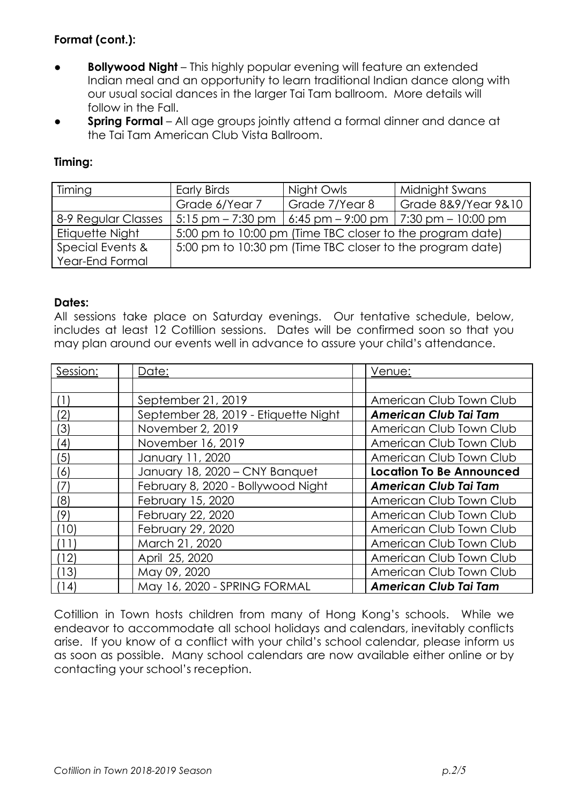# **Format (cont.):**

- **Bollywood Night** This highly popular evening will feature an extended Indian meal and an opportunity to learn traditional Indian dance along with our usual social dances in the larger Tai Tam ballroom. More details will follow in the Fall.
- **Spring Formal** All age groups jointly attend a formal dinner and dance at the Tai Tam American Club Vista Ballroom.

# **Timing:**

| <b>Timing</b>       | <b>Early Birds</b>                                        | Night Owls     | Midnight Swans                                               |  |  |
|---------------------|-----------------------------------------------------------|----------------|--------------------------------------------------------------|--|--|
|                     | Grade 6/Year 7                                            | Grade 7/Year 8 | Grade 8&9/Year 9&10                                          |  |  |
| 8-9 Regular Classes |                                                           |                | $5:15$ pm – 7:30 pm   6:45 pm – 9:00 pm   7:30 pm – 10:00 pm |  |  |
| Etiquette Night     | 5:00 pm to 10:00 pm (Time TBC closer to the program date) |                |                                                              |  |  |
| Special Events &    | 5:00 pm to 10:30 pm (Time TBC closer to the program date) |                |                                                              |  |  |
| Year-End Formal     |                                                           |                |                                                              |  |  |

# **Dates:**

All sessions take place on Saturday evenings. Our tentative schedule, below, includes at least 12 Cotillion sessions. Dates will be confirmed soon so that you may plan around our events well in advance to assure your child's attendance.

| Session:      | Date:                                | Venue:                          |
|---------------|--------------------------------------|---------------------------------|
|               |                                      |                                 |
|               | September 21, 2019                   | American Club Town Club         |
| (2)           | September 28, 2019 - Etiquette Night | <b>American Club Tai Tam</b>    |
| (3)           | November 2, 2019                     | American Club Town Club         |
| (4)           | November 16, 2019                    | American Club Town Club         |
| '5)           | January 11, 2020                     | American Club Town Club         |
| $\mathcal{L}$ | January 18, 2020 - CNY Banquet       | <b>Location To Be Announced</b> |
| (7)           | February 8, 2020 - Bollywood Night   | <b>American Club Tai Tam</b>    |
| (8)           | February 15, 2020                    | American Club Town Club         |
| (9)           | February 22, 2020                    | American Club Town Club         |
| (10)          | February 29, 2020                    | American Club Town Club         |
| 11)           | March 21, 2020                       | American Club Town Club         |
| (12)          | April 25, 2020                       | American Club Town Club         |
| (13)          | May 09, 2020                         | American Club Town Club         |
| $ 14\rangle$  | May 16, 2020 - SPRING FORMAL         | <b>American Club Tai Tam</b>    |

Cotillion in Town hosts children from many of Hong Kong's schools. While we endeavor to accommodate all school holidays and calendars, inevitably conflicts arise. If you know of a conflict with your child's school calendar, please inform us as soon as possible. Many school calendars are now available either online or by contacting your school's reception.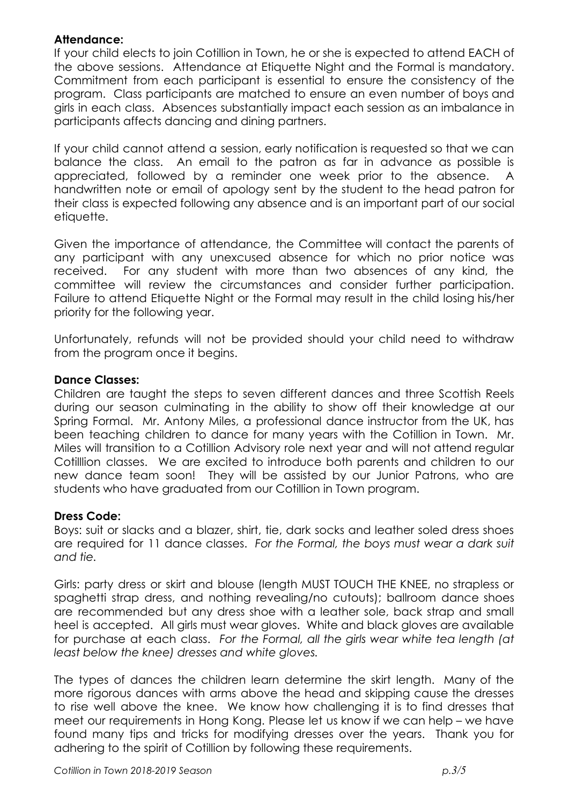# **Attendance:**

If your child elects to join Cotillion in Town, he or she is expected to attend EACH of the above sessions. Attendance at Etiquette Night and the Formal is mandatory. Commitment from each participant is essential to ensure the consistency of the program. Class participants are matched to ensure an even number of boys and girls in each class. Absences substantially impact each session as an imbalance in participants affects dancing and dining partners.

If your child cannot attend a session, early notification is requested so that we can balance the class. An email to the patron as far in advance as possible is appreciated, followed by a reminder one week prior to the absence. A handwritten note or email of apology sent by the student to the head patron for their class is expected following any absence and is an important part of our social etiquette.

Given the importance of attendance, the Committee will contact the parents of any participant with any unexcused absence for which no prior notice was received. For any student with more than two absences of any kind, the committee will review the circumstances and consider further participation. Failure to attend Etiquette Night or the Formal may result in the child losing his/her priority for the following year.

Unfortunately, refunds will not be provided should your child need to withdraw from the program once it begins.

# **Dance Classes:**

Children are taught the steps to seven different dances and three Scottish Reels during our season culminating in the ability to show off their knowledge at our Spring Formal. Mr. Antony Miles, a professional dance instructor from the UK, has been teaching children to dance for many years with the Cotillion in Town. Mr. Miles will transition to a Cotillion Advisory role next year and will not attend regular Cotilllion classes. We are excited to introduce both parents and children to our new dance team soon! They will be assisted by our Junior Patrons, who are students who have graduated from our Cotillion in Town program.

#### **Dress Code:**

Boys: suit or slacks and a blazer, shirt, tie, dark socks and leather soled dress shoes are required for 11 dance classes. *For the Formal, the boys must wear a dark suit and tie.*

Girls: party dress or skirt and blouse (length MUST TOUCH THE KNEE, no strapless or spaghetti strap dress, and nothing revealing/no cutouts); ballroom dance shoes are recommended but any dress shoe with a leather sole, back strap and small heel is accepted. All girls must wear gloves. White and black gloves are available for purchase at each class. *For the Formal, all the girls wear white tea length (at least below the knee) dresses and white gloves.*

The types of dances the children learn determine the skirt length. Many of the more rigorous dances with arms above the head and skipping cause the dresses to rise well above the knee. We know how challenging it is to find dresses that meet our requirements in Hong Kong. Please let us know if we can help – we have found many tips and tricks for modifying dresses over the years. Thank you for adhering to the spirit of Cotillion by following these requirements.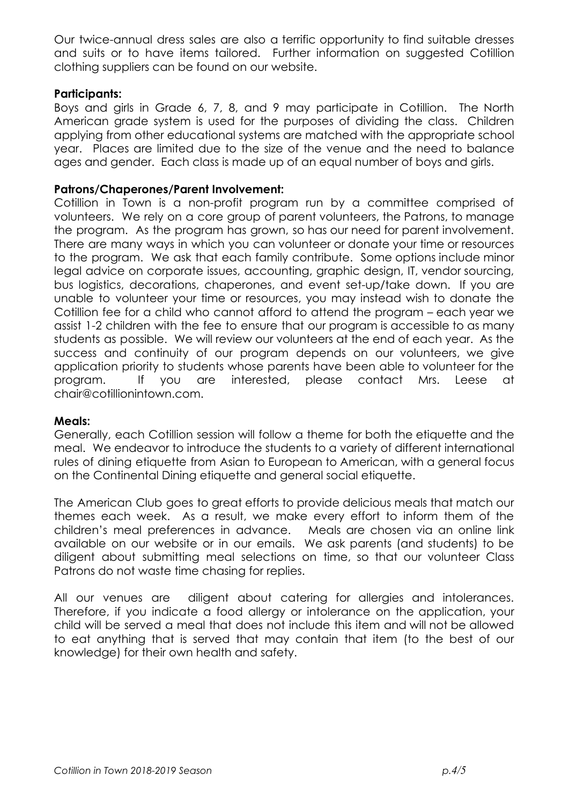Our twice-annual dress sales are also a terrific opportunity to find suitable dresses and suits or to have items tailored. Further information on suggested Cotillion clothing suppliers can be found on our website.

# **Participants:**

Boys and girls in Grade 6, 7, 8, and 9 may participate in Cotillion. The North American grade system is used for the purposes of dividing the class. Children applying from other educational systems are matched with the appropriate school year. Places are limited due to the size of the venue and the need to balance ages and gender. Each class is made up of an equal number of boys and girls.

### **Patrons/Chaperones/Parent Involvement:**

Cotillion in Town is a non-profit program run by a committee comprised of volunteers. We rely on a core group of parent volunteers, the Patrons, to manage the program. As the program has grown, so has our need for parent involvement. There are many ways in which you can volunteer or donate your time or resources to the program. We ask that each family contribute. Some options include minor legal advice on corporate issues, accounting, graphic design, IT, vendor sourcing, bus logistics, decorations, chaperones, and event set-up/take down. If you are unable to volunteer your time or resources, you may instead wish to donate the Cotillion fee for a child who cannot afford to attend the program – each year we assist 1-2 children with the fee to ensure that our program is accessible to as many students as possible. We will review our volunteers at the end of each year. As the success and continuity of our program depends on our volunteers, we give application priority to students whose parents have been able to volunteer for the program. If you are interested, please contact Mrs. Leese at chair@cotillionintown.com.

#### **Meals:**

Generally, each Cotillion session will follow a theme for both the etiquette and the meal. We endeavor to introduce the students to a variety of different international rules of dining etiquette from Asian to European to American, with a general focus on the Continental Dining etiquette and general social etiquette.

The American Club goes to great efforts to provide delicious meals that match our themes each week. As a result, we make every effort to inform them of the children's meal preferences in advance. Meals are chosen via an online link available on our website or in our emails. We ask parents (and students) to be diligent about submitting meal selections on time, so that our volunteer Class Patrons do not waste time chasing for replies.

All our venues are diligent about catering for allergies and intolerances. Therefore, if you indicate a food allergy or intolerance on the application, your child will be served a meal that does not include this item and will not be allowed to eat anything that is served that may contain that item (to the best of our knowledge) for their own health and safety.